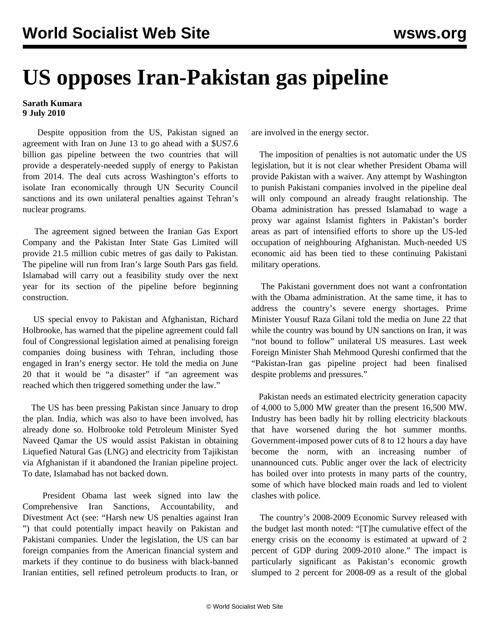## **US opposes Iran-Pakistan gas pipeline**

## **Sarath Kumara 9 July 2010**

 Despite opposition from the US, Pakistan signed an agreement with Iran on June 13 to go ahead with a \$US7.6 billion gas pipeline between the two countries that will provide a desperately-needed supply of energy to Pakistan from 2014. The deal cuts across Washington's efforts to isolate Iran economically through UN Security Council sanctions and its own unilateral penalties against Tehran's nuclear programs.

 The agreement signed between the Iranian Gas Export Company and the Pakistan Inter State Gas Limited will provide 21.5 million cubic metres of gas daily to Pakistan. The pipeline will run from Iran's large South Pars gas field. Islamabad will carry out a feasibility study over the next year for its section of the pipeline before beginning construction.

 US special envoy to Pakistan and Afghanistan, Richard Holbrooke, has warned that the pipeline agreement could fall foul of Congressional legislation aimed at penalising foreign companies doing business with Tehran, including those engaged in Iran's energy sector. He told the media on June 20 that it would be "a disaster" if "an agreement was reached which then triggered something under the law."

 The US has been pressing Pakistan since January to drop the plan. India, which was also to have been involved, has already done so. Holbrooke told Petroleum Minister Syed Naveed Qamar the US would assist Pakistan in obtaining Liquefied Natural Gas (LNG) and electricity from Tajikistan via Afghanistan if it abandoned the Iranian pipeline project. To date, Islamabad has not backed down.

 President Obama last week signed into law the Comprehensive Iran Sanctions, Accountability, and Divestment Act (see: ["Harsh new US penalties against Iran](/en/articles/2010/jul2010/iran-j05.shtml) ") that could potentially impact heavily on Pakistan and Pakistani companies. Under the legislation, the US can bar foreign companies from the American financial system and markets if they continue to do business with black-banned Iranian entities, sell refined petroleum products to Iran, or are involved in the energy sector.

 The imposition of penalties is not automatic under the US legislation, but it is not clear whether President Obama will provide Pakistan with a waiver. Any attempt by Washington to punish Pakistani companies involved in the pipeline deal will only compound an already fraught relationship. The Obama administration has pressed Islamabad to wage a proxy war against Islamist fighters in Pakistan's border areas as part of intensified efforts to shore up the US-led occupation of neighbouring Afghanistan. Much-needed US economic aid has been tied to these continuing Pakistani military operations.

 The Pakistani government does not want a confrontation with the Obama administration. At the same time, it has to address the country's severe energy shortages. Prime Minister Yousuf Raza Gilani told the media on June 22 that while the country was bound by UN sanctions on Iran, it was "not bound to follow" unilateral US measures. Last week Foreign Minister Shah Mehmood Qureshi confirmed that the "Pakistan-Iran gas pipeline project had been finalised despite problems and pressures."

 Pakistan needs an estimated electricity generation capacity of 4,000 to 5,000 MW greater than the present 16,500 MW. Industry has been badly hit by rolling electricity blackouts that have worsened during the hot summer months. Government-imposed power cuts of 8 to 12 hours a day have become the norm, with an increasing number of unannounced cuts. Public anger over the lack of electricity has boiled over into protests in many parts of the country, some of which have blocked main roads and led to violent clashes with police.

 The country's 2008-2009 Economic Survey released with the budget last month noted: "[T]he cumulative effect of the energy crisis on the economy is estimated at upward of 2 percent of GDP during 2009-2010 alone." The impact is particularly significant as Pakistan's economic growth slumped to 2 percent for 2008-09 as a result of the global